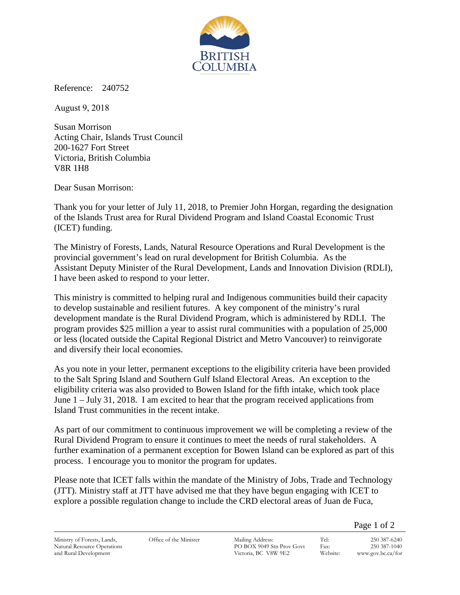

Reference: 240752

August 9, 2018

Susan Morrison Acting Chair, Islands Trust Council 200-1627 Fort Street Victoria, British Columbia V8R 1H8

Dear Susan Morrison:

Thank you for your letter of July 11, 2018, to Premier John Horgan, regarding the designation of the Islands Trust area for Rural Dividend Program and Island Coastal Economic Trust (ICET) funding.

The Ministry of Forests, Lands, Natural Resource Operations and Rural Development is the provincial government's lead on rural development for British Columbia. As the Assistant Deputy Minister of the Rural Development, Lands and Innovation Division (RDLI), I have been asked to respond to your letter.

This ministry is committed to helping rural and Indigenous communities build their capacity to develop sustainable and resilient futures. A key component of the ministry's rural development mandate is the Rural Dividend Program, which is administered by RDLI. The program provides \$25 million a year to assist rural communities with a population of 25,000 or less (located outside the Capital Regional District and Metro Vancouver) to reinvigorate and diversify their local economies.

As you note in your letter, permanent exceptions to the eligibility criteria have been provided to the Salt Spring Island and Southern Gulf Island Electoral Areas. An exception to the eligibility criteria was also provided to Bowen Island for the fifth intake, which took place June 1 – July 31, 2018. I am excited to hear that the program received applications from Island Trust communities in the recent intake.

As part of our commitment to continuous improvement we will be completing a review of the Rural Dividend Program to ensure it continues to meet the needs of rural stakeholders. A further examination of a permanent exception for Bowen Island can be explored as part of this process. I encourage you to monitor the program for updates.

Please note that ICET falls within the mandate of the Ministry of Jobs, Trade and Technology (JTT). Ministry staff at JTT have advised me that they have begun engaging with ICET to explore a possible regulation change to include the CRD electoral areas of Juan de Fuca,

Page 1 of 2

Ministry of Forests, Lands, Natural Resource Operations and Rural Development

Office of the Minister Mailing Address:

PO BOX 9049 Stn Prov Govt Victoria, BC V8W 9E2

Tel: 250 387-6240 Fax: 250 387-1040 Website: www.gov.bc.ca/for